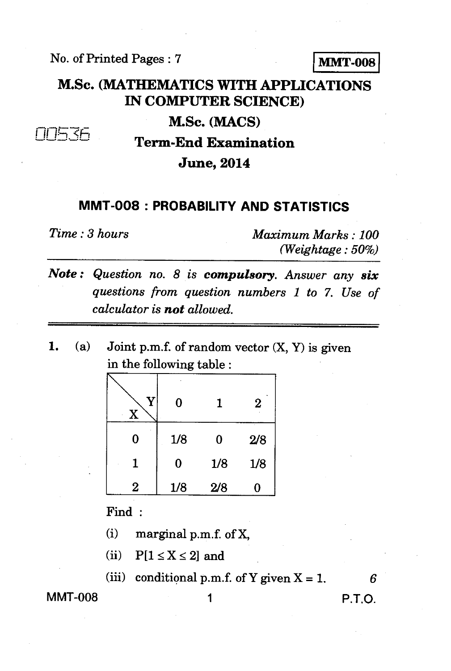No. of Printed Pages : 7 **MMT-008** 

## **M.Sc. (MATHEMATICS WITH APPLICATIONS IN COMPUTER SCIENCE)**

**M.Sc. (MACS)** 

**it** *Zcz,* 

**Term-End Examination** 

**June, 2014** 

## **MMT-008 : PROBABILITY AND STATISTICS**

*Time : 3 hours Maximum Marks : 100 (Weightage : 50%)* 

- *Note : Question no. 8 is compulsory. Answer any six questions from question numbers 1 to 7. Use of calculator is not allowed.*
- *1.* (a) Joint p.m.f. of random vector (X, Y) is given in the following table :

| V | $\bf{0}$ | 1   | $\bf{2}$ |
|---|----------|-----|----------|
| 0 | 1/8      | 0   | 2/8      |
|   | $\bf{0}$ | 1/8 | 1/8      |
| 2 | 1/8      | 2/8 | 0        |

Find :

- (i) marginal p.m.f. of X,
- (ii)  $P[1 \le X \le 2]$  and
- (iii) conditional p.m.f. of Y given  $X = 1$ .

**MMT-008 1 P.T.O.**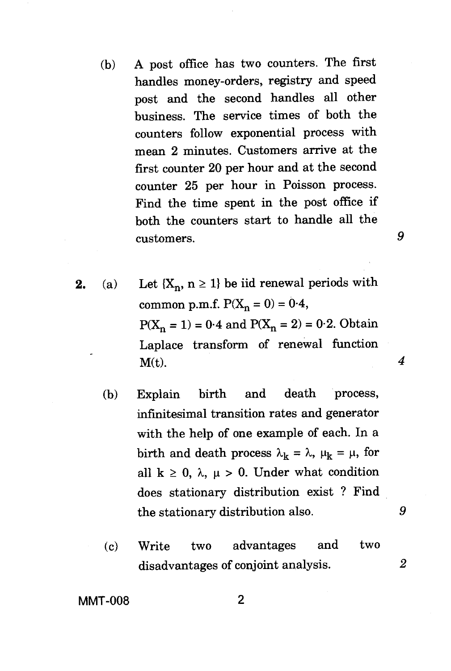- (b) A post office has two counters. The first handles money-orders, registry and speed post and the second handles all other business. The service times of both the counters follow exponential process with mean 2 minutes. Customers arrive at the first counter 20 per hour and at the second counter 25 per hour in Poisson process. Find the time spent in the post office if both the counters start to handle all the customers. *9*
- **2.** (a) Let  $\{X_n, n \geq 1\}$  be iid renewal periods with common p.m.f.  $P(X_n = 0) = 0.4$ ,  $P(X_n = 1) = 0.4$  and  $P(X_n = 2) = 0.2$ . Obtain Laplace transform of renewal function  $M(t)$ .  $4$ 
	- (b) Explain birth and death process, infinitesimal transition rates and generator with the help of one example of each. In a birth and death process  $\lambda_k = \lambda$ ,  $\mu_k = \mu$ , for all  $k \geq 0$ ,  $\lambda$ ,  $\mu > 0$ . Under what condition does stationary distribution exist ? Find the stationary distribution also. *9*
	- (c) Write two advantages and two disadvantages of conjoint analysis. *2*

**MMT-008 2**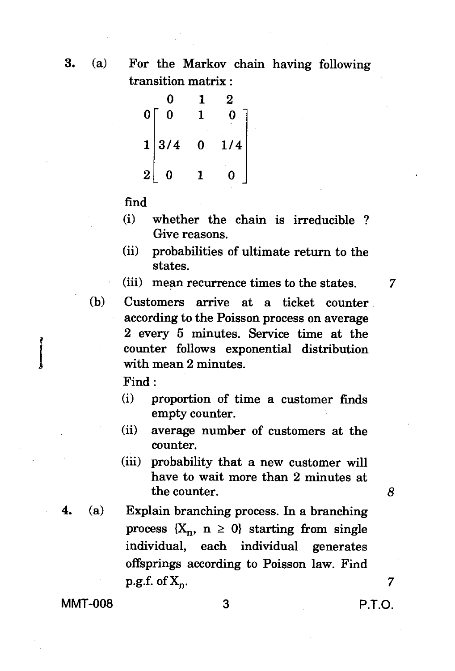3. (a) For the Markov chain having following transition matrix :

$$
\begin{bmatrix} 0 & 1 & 2 \\ 0 & 1 & 0 \\ 1 & 3/4 & 0 & 1/4 \\ 2 & 0 & 1 & 0 \end{bmatrix}
$$

find

- (i) whether the chain is irreducible ? Give reasons.
- (ii) probabilities of ultimate return to the states.

 $(iii)$  mean recurrence times to the states.  $7$ 

(b) Customers arrive at a ticket counter according to the Poisson process on average 2 every 5 minutes. Service time at the counter follows exponential distribution with mean 2 minutes.

Find :

- (i) proportion of time a customer finds empty counter.
- (ii) average number of customers at the counter.
- (iii) probability that a new customer will have to wait more than 2 minutes at the counter. *8*
- **4.** (a) Explain branching process. In a branching process  ${X_n, n \geq 0}$  starting from single individual, each individual generates offsprings according to Poisson law. Find  $p.g.f. of X_n$ . 7

MMT-008 3 3 P.T.O.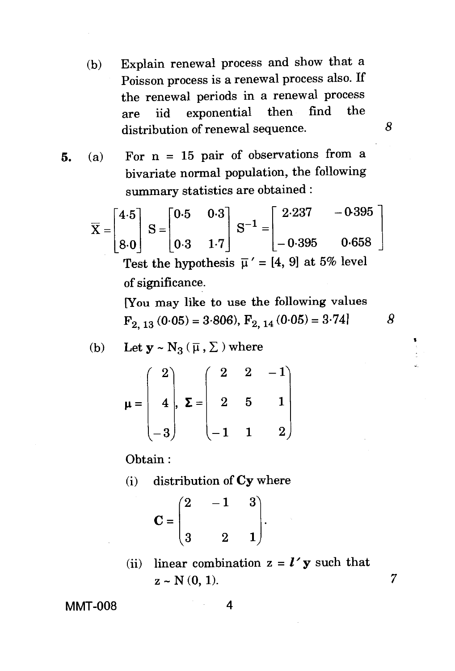(b) Explain renewal process and show that a Poisson process is a renewal process also. If the renewal periods in a renewal process are iid exponential then find the distribution of renewal sequence.

*8* 

**5.** (a) For n = 15 pair of observations from a bivariate normal population, the following summary statistics are obtained :

$$
\overline{X} = \begin{bmatrix} 4.5 \\ 8.0 \end{bmatrix} S = \begin{bmatrix} 0.5 & 0.3 \\ 0.3 & 1.7 \end{bmatrix} S^{-1} = \begin{bmatrix} 2.237 & -0.395 \\ -0.395 & 0.658 \end{bmatrix}
$$
  
Test the hypothesis  $\overline{\mu}' = \begin{bmatrix} 4, 9 \end{bmatrix}$  at 5% level of significance.

[You may like to use the following values  $F_{2, 13}(0.05) = 3.806$ ,  $F_{2, 14}(0.05) = 3.74$  *8* 

(b) Let 
$$
y \sim N_3(\overline{\mu}, \Sigma)
$$
 where

$$
\mu = \begin{pmatrix} 2 \\ 4 \\ -3 \end{pmatrix}, \ \Sigma = \begin{pmatrix} 2 & 2 & -1 \\ 2 & 5 & 1 \\ -1 & 1 & 2 \end{pmatrix}
$$

Obtain :

(i) distribution of Cy where

$$
\mathbf{C} = \begin{pmatrix} 2 & -1 & 3 \\ 3 & 2 & 1 \end{pmatrix}.
$$

(ii) linear combination  $z = l' y$  such that  $z \sim N(0, 1)$ . 7

MMT-008 4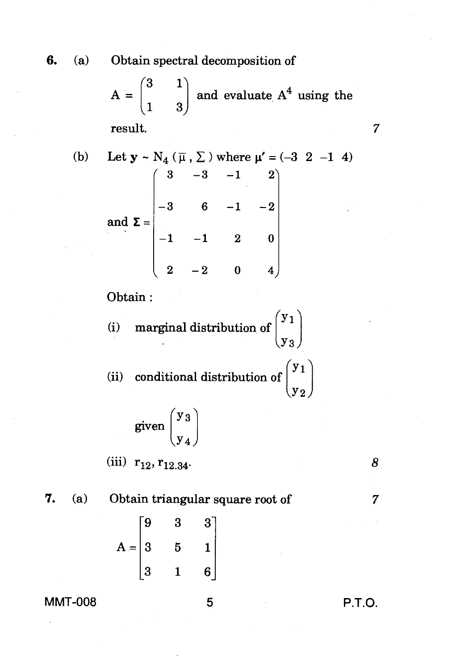**6.** (a) Obtain spectral decomposition of

 $A =$  $(3 \ 1)$ 3) and evaluate  $A<sup>4</sup>$  using the

result.

(b) Let 
$$
\mathbf{y} \sim N_4
$$
 ( $\overline{\mu}$ ,  $\Sigma$ ) where  $\mu' = (-3 \ 2 \ -1 \ 4)$   
\nand  $\Sigma = \begin{pmatrix} 3 & -3 & -1 & 2 \\ -3 & 6 & -1 & -2 \\ -1 & -1 & 2 & 0 \\ 2 & -2 & 0 & 4 \end{pmatrix}$   
\nObtain:  
\n(i) marginal distribution of  $\begin{pmatrix} y_1 \\ y_3 \end{pmatrix}$   
\n(ii) conditional distribution of  $\begin{pmatrix} y_1 \\ y_2 \end{pmatrix}$   
\ngiven  $\begin{pmatrix} y_3 \\ y_4 \end{pmatrix}$ 

$$
\begin{bmatrix} -1 & -1 & 2 & 0 \\ 2 & -2 & 0 & 4 \end{bmatrix}
$$

Obtain :

(i) marginal distribution of 
$$
\begin{pmatrix} y_1 \\ y_3 \end{pmatrix}
$$
  
(ii) conditional distribution of  $\begin{pmatrix} y_1 \\ y_2 \end{pmatrix}$ 

$$
given \begin{pmatrix} y_3 \\ y_4 \end{pmatrix}
$$

(iii)  $r_{12}, r_{12.34}$  8

7. (a) Obtain triangular square root of 7

$$
A = \begin{bmatrix} 9 & 3 & 3 \\ 3 & 5 & 1 \\ 3 & 1 & 6 \end{bmatrix}
$$

## **MMT-008 5 P.T.O.**

 $\overline{7}$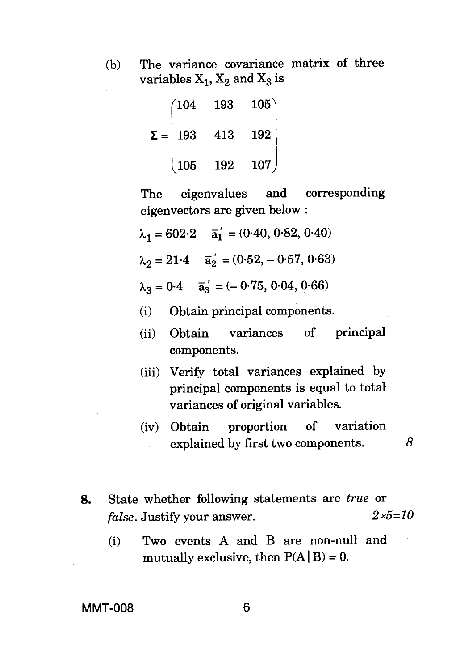- 
- (b) The variance covariance matrix of three variables  $X_1$ ,  $X_2$  and  $X_3$  is

|              | (104 | 193 | 105) |
|--------------|------|-----|------|
| $\Sigma =  $ | 193  | 413 | 192  |
|              | 105  | 192 | 107  |

The eigenvalues and corresponding eigenvectors are given below :

$$
\lambda_1 = 602.2 \quad \overline{a}_1' = (0.40, 0.82, 0.40)
$$

$$
\lambda_2 = 21.4
$$
  $\overline{a}_2' = (0.52, -0.57, 0.63)$ 

 $\lambda_3 = 0.4$   $\overline{a}_3' = (-0.75, 0.04, 0.66)$ 

(i) Obtain principal components.

- (ii) Obtain variances of principal components.
- (iii) Verify total variances explained by principal components is equal to total variances of original variables.
- (iv) Obtain proportion of variation explained by first two components. *8*
- **8.** State whether following statements are *true* or *false.* Justify your answer. *2x5=10* 
	- (i) Two events A and B are non-null and mutually exclusive, then  $P(A | B) = 0$ .

**MMT-008 6**